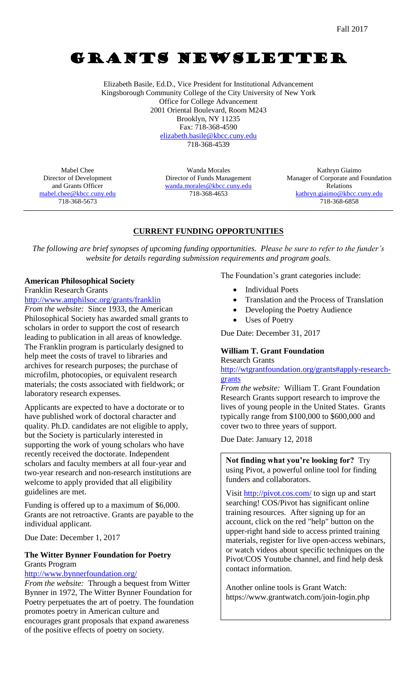# GRANTS NEWSLETTER

Elizabeth Basile, Ed.D., Vice President for Institutional Advancement Kingsborough Community College of the City University of New York Office for College Advancement 2001 Oriental Boulevard, Room M243 Brooklyn, NY 11235 Fax: 718-368-4590 [elizabeth.basile@kbcc.cuny.edu](mailto:elizabeth.basile@kbcc.cuny.edu)

718-368-4539

Mabel Chee Director of Development and Grants Officer [mabel.chee@kbcc.cuny.edu](mailto:mabel.chee@kbcc.cuny.edu) 718-368-5673

Wanda Morales Director of Funds Management [wanda.morales@kbcc.cuny.edu](mailto:wanda.morales@kbcc.cuny.edu) 718-368-4653

Kathryn Giaimo Manager of Corporate and Foundation Relations [kathryn.giaimo@kbcc.cuny.edu](mailto:kathryn.giaimo@kbcc.cuny.edu) 718-368-6858

# **CURRENT FUNDING OPPORTUNITIES**

*The following are brief synopses of upcoming funding opportunities. Please be sure to refer to the funder's website for details regarding submission requirements and program goals.*

## **American Philosophical Society**

Franklin Research Grants

<http://www.amphilsoc.org/grants/franklin>

*From the website:* Since 1933, the American Philosophical Society has awarded small grants to scholars in order to support the cost of research leading to publication in all areas of knowledge. The Franklin program is particularly designed to help meet the costs of travel to libraries and archives for research purposes; the purchase of microfilm, photocopies, or equivalent research materials; the costs associated with fieldwork; or laboratory research expenses.

Applicants are expected to have a doctorate or to have published work of doctoral character and quality. Ph.D. candidates are not eligible to apply, but the Society is particularly interested in supporting the work of young scholars who have recently received the doctorate. Independent scholars and faculty members at all four-year and two-year research and non-research institutions are welcome to apply provided that all eligibility guidelines are met.

Funding is offered up to a maximum of \$6,000. Grants are not retroactive. Grants are payable to the individual applicant.

Due Date: December 1, 2017

## **The Witter Bynner Foundation for Poetry** Grants Program

#### <http://www.bynnerfoundation.org/>

*From the website:* Through a bequest from Witter Bynner in 1972, The Witter Bynner Foundation for Poetry perpetuates the art of poetry. The foundation promotes poetry in American culture and encourages grant proposals that expand awareness of the positive effects of poetry on society.

The Foundation's grant categories include:

- Individual Poets
- Translation and the Process of Translation
- Developing the Poetry Audience
- Uses of Poetry

Due Date: December 31, 2017

# **William T. Grant Foundation**

# Research Grants

[http://wtgrantfoundation.org/grants#apply-research](http://wtgrantfoundation.org/grants#apply-research-grants)[grants](http://wtgrantfoundation.org/grants#apply-research-grants)

*From the website:* William T. Grant Foundation Research Grants support research to improve the lives of young people in the United States. Grants typically range from \$100,000 to \$600,000 and cover two to three years of support.

Due Date: January 12, 2018

**Not finding what you're looking for?** Try using Pivot, a powerful online tool for finding funders and collaborators.

Visit<http://pivot.cos.com/> to sign up and start searching! COS/Pivot has significant online training resources. After signing up for an account, click on the red "help" button on the upper-right hand side to access printed training materials, register for live open-access webinars, or watch videos about specific techniques on the Pivot/COS Youtube channel, and find help desk contact information.

Another online tools is Grant Watch: https://www.grantwatch.com/join-login.php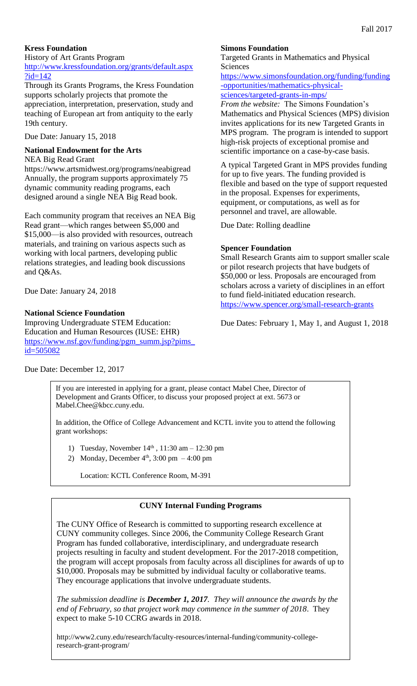## **Kress Foundation**

History of Art Grants Program

[http://www.kressfoundation.org/grants/default.aspx](http://www.kressfoundation.org/grants/default.aspx?id=142) [?id=142](http://www.kressfoundation.org/grants/default.aspx?id=142)

Through its Grants Programs, the Kress Foundation supports scholarly projects that promote the appreciation, interpretation, preservation, study and teaching of European art from antiquity to the early 19th century.

Due Date: January 15, 2018

## **National Endowment for the Arts**

NEA Big Read Grant

https://www.artsmidwest.org/programs/neabigread Annually, the program supports approximately 75 dynamic community reading programs, each designed around a single NEA Big Read book.

Each community program that receives an NEA Big Read grant—which ranges between \$5,000 and \$15,000—is also provided with resources, outreach materials, and training on various aspects such as working with local partners, developing public relations strategies, and leading book discussions and Q&As.

Due Date: January 24, 2018

## **National Science Foundation**

Improving Undergraduate STEM Education: Education and Human Resources (IUSE: EHR) [https://www.nsf.gov/funding/pgm\\_summ.jsp?pims\\_](https://www.nsf.gov/funding/pgm_summ.jsp?pims_id=505082) [id=505082](https://www.nsf.gov/funding/pgm_summ.jsp?pims_id=505082)

## **Simons Foundation**

Targeted Grants in Mathematics and Physical Sciences

[https://www.simonsfoundation.org/funding/funding](https://www.simonsfoundation.org/funding/funding-opportunities/mathematics-physical-sciences/targeted-grants-in-mps/) [-opportunities/mathematics-physical](https://www.simonsfoundation.org/funding/funding-opportunities/mathematics-physical-sciences/targeted-grants-in-mps/)[sciences/targeted-grants-in-mps/](https://www.simonsfoundation.org/funding/funding-opportunities/mathematics-physical-sciences/targeted-grants-in-mps/)

*From the website:* The Simons Foundation's Mathematics and Physical Sciences (MPS) division invites applications for its new Targeted Grants in MPS program. The program is intended to support high-risk projects of exceptional promise and scientific importance on a case-by-case basis.

A typical Targeted Grant in MPS provides funding for up to five years. The funding provided is flexible and based on the type of support requested in the proposal. Expenses for experiments, equipment, or computations, as well as for personnel and travel, are allowable.

Due Date: Rolling deadline

#### **Spencer Foundation**

Small Research Grants aim to support smaller scale or pilot research projects that have budgets of \$50,000 or less. Proposals are encouraged from scholars across a variety of disciplines in an effort to fund field-initiated education research. <https://www.spencer.org/small-research-grants>

Due Dates: February 1, May 1, and August 1, 2018

Due Date: December 12, 2017

If you are interested in applying for a grant, please contact Mabel Chee, Director of Development and Grants Officer, to discuss your proposed project at ext. 5673 or Mabel.Chee@kbcc.cuny.edu.

In addition, the Office of College Advancement and KCTL invite you to attend the following grant workshops:

- 1) Tuesday, November  $14<sup>th</sup>$ , 11:30 am 12:30 pm
- 2) Monday, December  $4<sup>th</sup>$ , 3:00 pm  $-4:00$  pm

Location: KCTL Conference Room, M-391

## **CUNY Internal Funding Programs**

The CUNY Office of Research is committed to supporting research excellence at CUNY community colleges. Since 2006, the Community College Research Grant Program has funded collaborative, interdisciplinary, and undergraduate research projects resulting in faculty and student development. For the 2017-2018 competition, the program will accept proposals from faculty across all disciplines for awards of up to \$10,000. Proposals may be submitted by individual faculty or collaborative teams. They encourage applications that involve undergraduate students.

*The submission deadline is December 1, 2017. They will announce the awards by the end of February, so that project work may commence in the summer of 2018*. They expect to make 5-10 CCRG awards in 2018.

http://www2.cuny.edu/research/faculty-resources/internal-funding/community-collegeresearch-grant-program/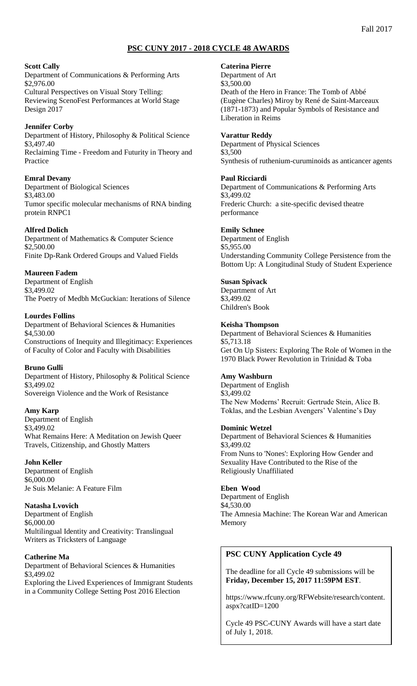## **PSC CUNY 2017 - 2018 CYCLE 48 AWARDS**

#### **Scott Cally**

Department of Communications & Performing Arts \$2,976.00 Cultural Perspectives on Visual Story Telling: Reviewing ScenoFest Performances at World Stage Design 2017

#### **Jennifer Corby**

Department of History, Philosophy & Political Science \$3,497.40 Reclaiming Time - Freedom and Futurity in Theory and Practice

#### **Emral Devany**

Department of Biological Sciences \$3,483.00 Tumor specific molecular mechanisms of RNA binding protein RNPC1

#### **Alfred Dolich**

Department of Mathematics & Computer Science \$2,500.00 Finite Dp-Rank Ordered Groups and Valued Fields

#### **Maureen Fadem**

Department of English \$3,499.02 The Poetry of Medbh McGuckian: Iterations of Silence

#### **Lourdes Follins**

Department of Behavioral Sciences & Humanities \$4,530.00 Constructions of Inequity and Illegitimacy: Experiences of Faculty of Color and Faculty with Disabilities

#### **Bruno Gulli**

Department of History, Philosophy & Political Science \$3,499.02 Sovereign Violence and the Work of Resistance

#### **Amy Karp**

Department of English \$3,499.02 What Remains Here: A Meditation on Jewish Queer Travels, Citizenship, and Ghostly Matters

#### **John Keller**

Department of English \$6,000.00 Je Suis Melanie: A Feature Film

#### **Natasha Lvovich**

Department of English \$6,000.00 Multilingual Identity and Creativity: Translingual Writers as Tricksters of Language

#### **Catherine Ma**

Department of Behavioral Sciences & Humanities \$3,499.02 Exploring the Lived Experiences of Immigrant Students in a Community College Setting Post 2016 Election

#### **Caterina Pierre**

Department of Art \$3,500.00 Death of the Hero in France: The Tomb of Abbé (Eugène Charles) Miroy by René de Saint-Marceaux (1871-1873) and Popular Symbols of Resistance and Liberation in Reims

#### **Varattur Reddy**

Department of Physical Sciences \$3,500 Synthesis of ruthenium-curuminoids as anticancer agents

#### **Paul Ricciardi**

Department of Communications & Performing Arts \$3,499.02 Frederic Church: a site-specific devised theatre performance

#### **Emily Schnee**

Department of English \$5,955.00 Understanding Community College Persistence from the Bottom Up: A Longitudinal Study of Student Experience

#### **Susan Spivack**

Department of Art \$3,499.02 Children's Book

#### **Keisha Thompson**

Department of Behavioral Sciences & Humanities \$5,713.18 Get On Up Sisters: Exploring The Role of Women in the 1970 Black Power Revolution in Trinidad & Toba

#### **Amy Washburn**

Department of English \$3,499.02 The New Moderns' Recruit: Gertrude Stein, Alice B. Toklas, and the Lesbian Avengers' Valentine's Day

#### **Dominic Wetzel**

Department of Behavioral Sciences & Humanities \$3,499.02 From Nuns to 'Nones': Exploring How Gender and Sexuality Have Contributed to the Rise of the Religiously Unaffiliated

#### **Eben Wood**

Department of English \$4,530.00 The Amnesia Machine: The Korean War and American Memory

## **PSC CUNY Application Cycle 49**

The deadline for all Cycle 49 submissions will be **Friday, December 15, 2017 11:59PM EST**.

https://www.rfcuny.org/RFWebsite/research/content. aspx?catID=1200

Cycle 49 PSC-CUNY Awards will have a start date of July 1, 2018.